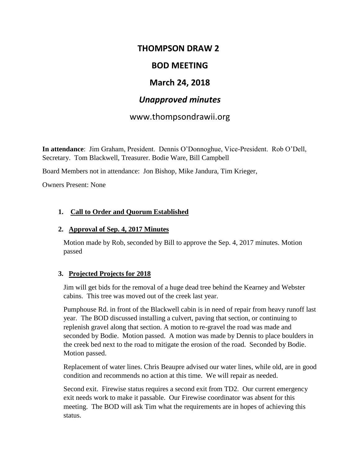## **THOMPSON DRAW 2**

# **BOD MEETING**

# **March 24, 2018**

# *Unapproved minutes*

## www.thompsondrawii.org

**In attendance**: Jim Graham, President. Dennis O'Donnoghue, Vice-President. Rob O'Dell, Secretary. Tom Blackwell, Treasurer. Bodie Ware, Bill Campbell

Board Members not in attendance: Jon Bishop, Mike Jandura, Tim Krieger,

Owners Present: None

## **1. Call to Order and Quorum Established**

#### **2. Approval of Sep. 4, 2017 Minutes**

Motion made by Rob, seconded by Bill to approve the Sep. 4, 2017 minutes. Motion passed

#### **3. Projected Projects for 2018**

Jim will get bids for the removal of a huge dead tree behind the Kearney and Webster cabins. This tree was moved out of the creek last year.

Pumphouse Rd. in front of the Blackwell cabin is in need of repair from heavy runoff last year. The BOD discussed installing a culvert, paving that section, or continuing to replenish gravel along that section. A motion to re-gravel the road was made and seconded by Bodie. Motion passed. A motion was made by Dennis to place boulders in the creek bed next to the road to mitigate the erosion of the road. Seconded by Bodie. Motion passed.

Replacement of water lines. Chris Beaupre advised our water lines, while old, are in good condition and recommends no action at this time. We will repair as needed.

Second exit. Firewise status requires a second exit from TD2. Our current emergency exit needs work to make it passable. Our Firewise coordinator was absent for this meeting. The BOD will ask Tim what the requirements are in hopes of achieving this status.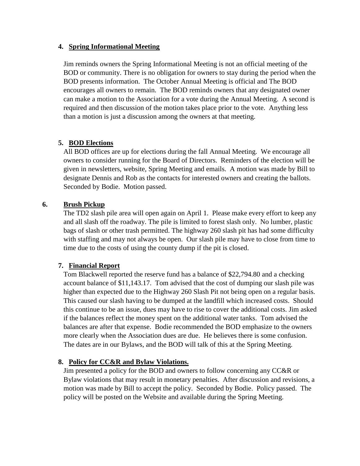#### **4. Spring Informational Meeting**

Jim reminds owners the Spring Informational Meeting is not an official meeting of the BOD or community. There is no obligation for owners to stay during the period when the BOD presents information. The October Annual Meeting is official and The BOD encourages all owners to remain. The BOD reminds owners that any designated owner can make a motion to the Association for a vote during the Annual Meeting. A second is required and then discussion of the motion takes place prior to the vote. Anything less than a motion is just a discussion among the owners at that meeting.

## **5. BOD Elections**

All BOD offices are up for elections during the fall Annual Meeting. We encourage all owners to consider running for the Board of Directors. Reminders of the election will be given in newsletters, website, Spring Meeting and emails. A motion was made by Bill to designate Dennis and Rob as the contacts for interested owners and creating the ballots. Seconded by Bodie. Motion passed.

## **6. Brush Pickup**

The TD2 slash pile area will open again on April 1. Please make every effort to keep any and all slash off the roadway. The pile is limited to forest slash only. No lumber, plastic bags of slash or other trash permitted. The highway 260 slash pit has had some difficulty with staffing and may not always be open. Our slash pile may have to close from time to time due to the costs of using the county dump if the pit is closed.

## **7. Financial Report**

Tom Blackwell reported the reserve fund has a balance of \$22,794.80 and a checking account balance of \$11,143.17. Tom advised that the cost of dumping our slash pile was higher than expected due to the Highway 260 Slash Pit not being open on a regular basis. This caused our slash having to be dumped at the landfill which increased costs. Should this continue to be an issue, dues may have to rise to cover the additional costs. Jim asked if the balances reflect the money spent on the additional water tanks. Tom advised the balances are after that expense. Bodie recommended the BOD emphasize to the owners more clearly when the Association dues are due. He believes there is some confusion. The dates are in our Bylaws, and the BOD will talk of this at the Spring Meeting.

## **8. Policy for CC&R and Bylaw Violations.**

Jim presented a policy for the BOD and owners to follow concerning any CC&R or Bylaw violations that may result in monetary penalties. After discussion and revisions, a motion was made by Bill to accept the policy. Seconded by Bodie. Policy passed. The policy will be posted on the Website and available during the Spring Meeting.